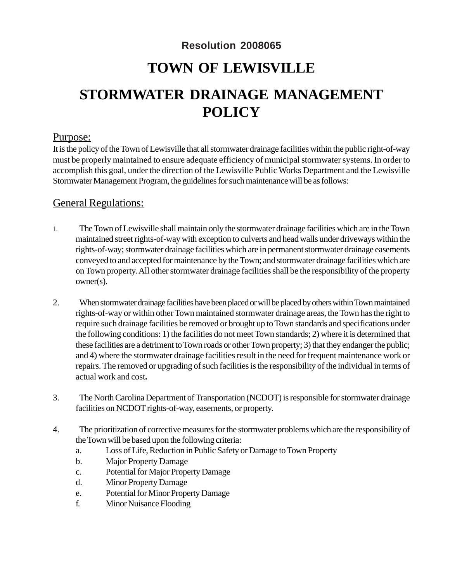### **Resolution 2008065**

## **TOWN OF LEWISVILLE**

# **STORMWATER DRAINAGE MANAGEMENT POLICY**

#### Purpose:

It is the policy of the Town of Lewisville that all stormwater drainage facilities within the public right-of-way must be properly maintained to ensure adequate efficiency of municipal stormwater systems. In order to accomplish this goal, under the direction of the Lewisville Public Works Department and the Lewisville Stormwater Management Program, the guidelines for such maintenance will be as follows:

### General Regulations:

- 1. The Town of Lewisville shall maintain only the stormwater drainage facilities which are in the Town maintained street rights-of-way with exception to culverts and head walls under driveways within the rights-of-way; stormwater drainage facilities which are in permanent stormwater drainage easements conveyed to and accepted for maintenance by the Town; and stormwater drainage facilities which are on Town property. All other stormwater drainage facilities shall be the responsibility of the property owner(s).
- 2. When stormwater drainage facilities have been placed or will be placed by others within Town maintained rights-of-way or within other Town maintained stormwater drainage areas, the Town has the right to require such drainage facilities be removed or brought up to Town standards and specifications under the following conditions: 1) the facilities do not meet Town standards; 2) where it is determined that these facilities are a detriment to Town roads or other Town property; 3) that they endanger the public; and 4) where the stormwater drainage facilities result in the need for frequent maintenance work or repairs. The removed or upgrading of such facilities is the responsibility of the individual in terms of actual work and cost**.**
- 3. The North Carolina Department of Transportation (NCDOT) is responsible for stormwater drainage facilities on NCDOT rights-of-way, easements, or property.
- 4. The prioritization of corrective measures for the stormwater problems which are the responsibility of the Town will be based upon the following criteria:
	- a. Loss of Life, Reduction in Public Safety or Damage to Town Property
	- b. Major Property Damage
	- c. Potential for Major Property Damage
	- d. Minor Property Damage
	- e. Potential for Minor Property Damage
	- f. Minor Nuisance Flooding